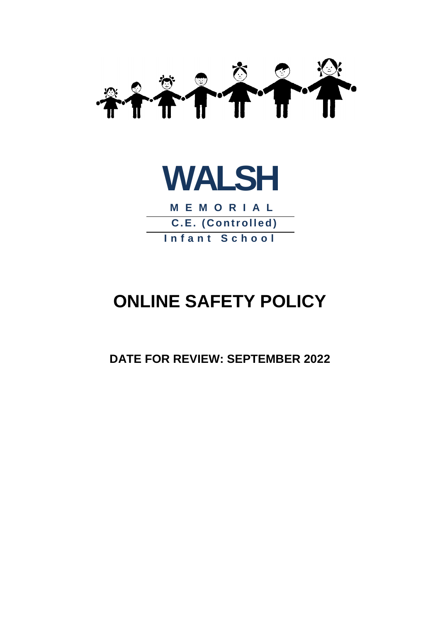



**M E M O R I A L C.E. (Controlled) I n f a n t S c h o o l**

# **ONLINE SAFETY POLICY**

**DATE FOR REVIEW: SEPTEMBER 2022**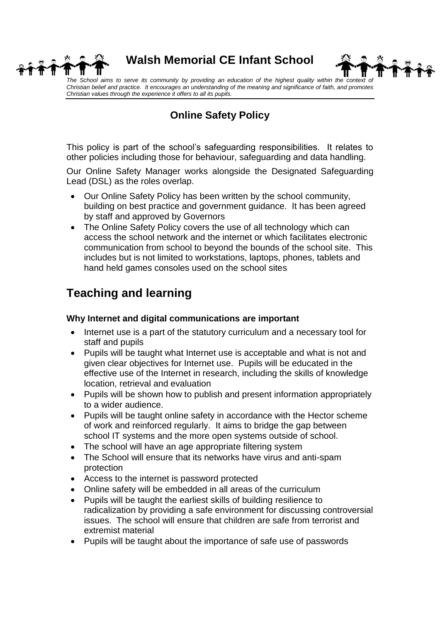

**Walsh Memorial CE Infant School**



The School aims to serve its community by providing an education of the highest quality within the context of *Christian belief and practice. It encourages an understanding of the meaning and significance of faith, and promotes Christian values through the experience it offers to all its pupils.*

### **Online Safety Policy**

This policy is part of the school's safeguarding responsibilities. It relates to other policies including those for behaviour, safeguarding and data handling.

Our Online Safety Manager works alongside the Designated Safeguarding Lead (DSL) as the roles overlap.

- Our Online Safety Policy has been written by the school community, building on best practice and government guidance. It has been agreed by staff and approved by Governors
- The Online Safety Policy covers the use of all technology which can access the school network and the internet or which facilitates electronic communication from school to beyond the bounds of the school site. This includes but is not limited to workstations, laptops, phones, tablets and hand held games consoles used on the school sites

## **Teaching and learning**

#### **Why Internet and digital communications are important**

- Internet use is a part of the statutory curriculum and a necessary tool for staff and pupils
- Pupils will be taught what Internet use is acceptable and what is not and given clear objectives for Internet use. Pupils will be educated in the effective use of the Internet in research, including the skills of knowledge location, retrieval and evaluation
- Pupils will be shown how to publish and present information appropriately to a wider audience.
- Pupils will be taught online safety in accordance with the Hector scheme of work and reinforced regularly. It aims to bridge the gap between school IT systems and the more open systems outside of school.
- The school will have an age appropriate filtering system
- The School will ensure that its networks have virus and anti-spam protection
- Access to the internet is password protected
- Online safety will be embedded in all areas of the curriculum
- Pupils will be taught the earliest skills of building resilience to radicalization by providing a safe environment for discussing controversial issues. The school will ensure that children are safe from terrorist and extremist material
- Pupils will be taught about the importance of safe use of passwords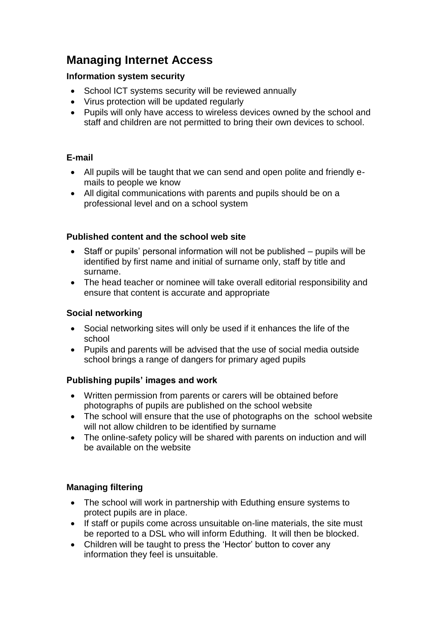## **Managing Internet Access**

#### **Information system security**

- School ICT systems security will be reviewed annually
- Virus protection will be updated regularly
- Pupils will only have access to wireless devices owned by the school and staff and children are not permitted to bring their own devices to school.

#### **E-mail**

- All pupils will be taught that we can send and open polite and friendly emails to people we know
- All digital communications with parents and pupils should be on a professional level and on a school system

#### **Published content and the school web site**

- Staff or pupils' personal information will not be published pupils will be identified by first name and initial of surname only, staff by title and surname.
- The head teacher or nominee will take overall editorial responsibility and ensure that content is accurate and appropriate

#### **Social networking**

- Social networking sites will only be used if it enhances the life of the school
- Pupils and parents will be advised that the use of social media outside school brings a range of dangers for primary aged pupils

#### **Publishing pupils' images and work**

- Written permission from parents or carers will be obtained before photographs of pupils are published on the school website
- The school will ensure that the use of photographs on the school website will not allow children to be identified by surname
- The online-safety policy will be shared with parents on induction and will be available on the website

#### **Managing filtering**

- The school will work in partnership with Eduthing ensure systems to protect pupils are in place.
- If staff or pupils come across unsuitable on-line materials, the site must be reported to a DSL who will inform Eduthing. It will then be blocked.
- Children will be taught to press the 'Hector' button to cover any information they feel is unsuitable.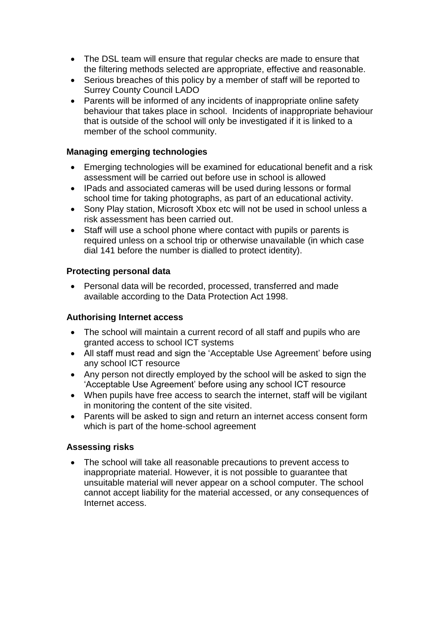- The DSL team will ensure that regular checks are made to ensure that the filtering methods selected are appropriate, effective and reasonable.
- Serious breaches of this policy by a member of staff will be reported to Surrey County Council LADO
- Parents will be informed of any incidents of inappropriate online safety behaviour that takes place in school. Incidents of inappropriate behaviour that is outside of the school will only be investigated if it is linked to a member of the school community.

#### **Managing emerging technologies**

- Emerging technologies will be examined for educational benefit and a risk assessment will be carried out before use in school is allowed
- IPads and associated cameras will be used during lessons or formal school time for taking photographs, as part of an educational activity.
- Sony Play station, Microsoft Xbox etc will not be used in school unless a risk assessment has been carried out.
- Staff will use a school phone where contact with pupils or parents is required unless on a school trip or otherwise unavailable (in which case dial 141 before the number is dialled to protect identity).

#### **Protecting personal data**

 Personal data will be recorded, processed, transferred and made available according to the Data Protection Act 1998.

#### **Authorising Internet access**

- The school will maintain a current record of all staff and pupils who are granted access to school ICT systems
- All staff must read and sign the 'Acceptable Use Agreement' before using any school ICT resource
- Any person not directly employed by the school will be asked to sign the 'Acceptable Use Agreement' before using any school ICT resource
- When pupils have free access to search the internet, staff will be vigilant in monitoring the content of the site visited.
- Parents will be asked to sign and return an internet access consent form which is part of the home-school agreement

#### **Assessing risks**

• The school will take all reasonable precautions to prevent access to inappropriate material. However, it is not possible to guarantee that unsuitable material will never appear on a school computer. The school cannot accept liability for the material accessed, or any consequences of Internet access.